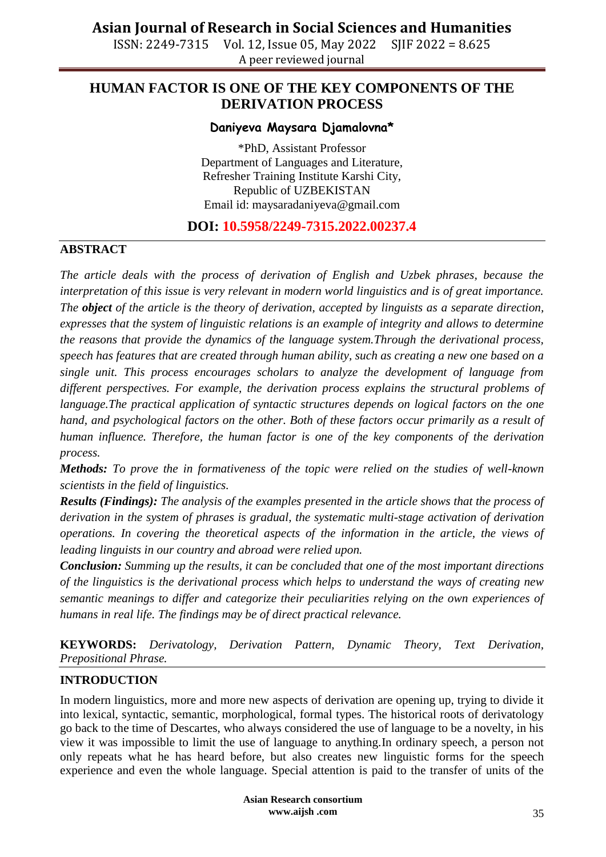ISSN: 2249-7315 Vol. 12, Issue 05, May 2022 SJIF 2022 = 8.625 A peer reviewed journal

### **HUMAN FACTOR IS ONE OF THE KEY COMPONENTS OF THE DERIVATION PROCESS**

#### **Daniyeva Maysara Djamalovna\***

\*PhD, Assistant Professor Department of Languages and Literature, Refresher Training Institute Karshi City, Republic of UZBEKISTAN Email id: [maysaradaniyeva@gmail.com](mailto:maysaradaniyeva@gmail.com)

### **DOI: 10.5958/2249-7315.2022.00237.4**

#### **ABSTRACT**

*The article deals with the process of derivation of English and Uzbek phrases, because the interpretation of this issue is very relevant in modern world linguistics and is of great importance. The object of the article is the theory of derivation, accepted by linguists as a separate direction, expresses that the system of linguistic relations is an example of integrity and allows to determine the reasons that provide the dynamics of the language system.Through the derivational process, speech has features that are created through human ability, such as creating a new one based on a single unit. This process encourages scholars to analyze the development of language from different perspectives. For example, the derivation process explains the structural problems of language.The practical application of syntactic structures depends on logical factors on the one hand, and psychological factors on the other. Both of these factors occur primarily as a result of human influence. Therefore, the human factor is one of the key components of the derivation process.*

*Methods: To prove the in formativeness of the topic were relied on the studies of well-known scientists in the field of linguistics.*

*Results (Findings): The analysis of the examples presented in the article shows that the process of derivation in the system of phrases is gradual, the systematic multi-stage activation of derivation operations. In covering the theoretical aspects of the information in the article, the views of leading linguists in our country and abroad were relied upon.*

*Conclusion: Summing up the results, it can be concluded that one of the most important directions of the linguistics is the derivational process which helps to understand the ways of creating new semantic meanings to differ and categorize their peculiarities relying on the own experiences of humans in real life. The findings may be of direct practical relevance.*

**KEYWORDS:** *Derivatology, Derivation Pattern, Dynamic Theory, Text Derivation, Prepositional Phrase.*

#### **INTRODUCTION**

In modern linguistics, more and more new aspects of derivation are opening up, trying to divide it into lexical, syntactic, semantic, morphological, formal types. The historical roots of derivatology go back to the time of Descartes, who always considered the use of language to be a novelty, in his view it was impossible to limit the use of language to anything.In ordinary speech, a person not only repeats what he has heard before, but also creates new linguistic forms for the speech experience and even the whole language. Special attention is paid to the transfer of units of the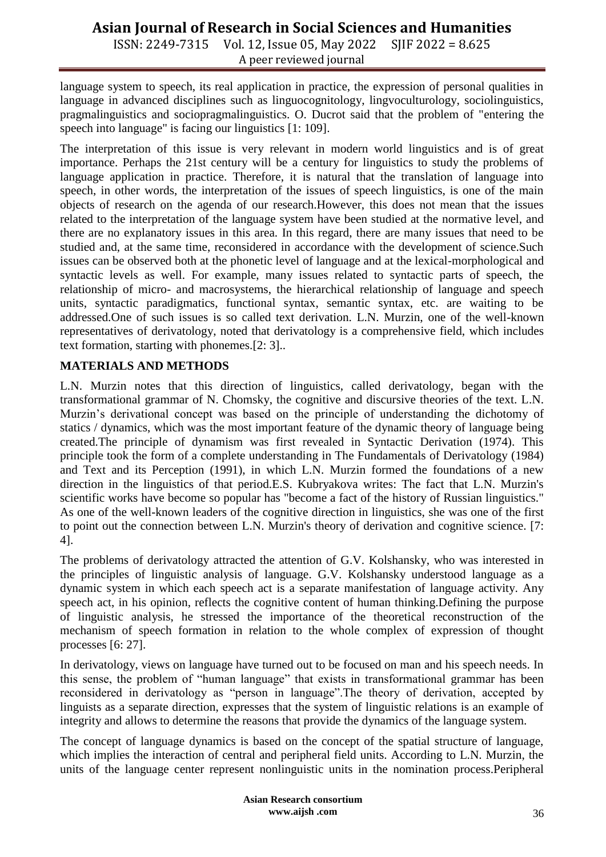ISSN: 2249-7315 Vol. 12, Issue 05, May 2022 SJIF 2022 = 8.625 A peer reviewed journal

language system to speech, its real application in practice, the expression of personal qualities in language in advanced disciplines such as linguocognitology, lingvoculturology, sociolinguistics, pragmalinguistics and sociopragmalinguistics. O. Ducrot said that the problem of "entering the speech into language" is facing our linguistics [1: 109].

The interpretation of this issue is very relevant in modern world linguistics and is of great importance. Perhaps the 21st century will be a century for linguistics to study the problems of language application in practice. Therefore, it is natural that the translation of language into speech, in other words, the interpretation of the issues of speech linguistics, is one of the main objects of research on the agenda of our research.However, this does not mean that the issues related to the interpretation of the language system have been studied at the normative level, and there are no explanatory issues in this area. In this regard, there are many issues that need to be studied and, at the same time, reconsidered in accordance with the development of science.Such issues can be observed both at the phonetic level of language and at the lexical-morphological and syntactic levels as well. For example, many issues related to syntactic parts of speech, the relationship of micro- and macrosystems, the hierarchical relationship of language and speech units, syntactic paradigmatics, functional syntax, semantic syntax, etc. are waiting to be addressed.One of such issues is so called text derivation. L.N. Murzin, one of the well-known representatives of derivatology, noted that derivatology is a comprehensive field, which includes text formation, starting with phonemes.[2: 3]..

#### **MATERIALS AND METHODS**

L.N. Murzin notes that this direction of linguistics, called derivatology, began with the transformational grammar of N. Chomsky, the cognitive and discursive theories of the text. L.N. Murzin"s derivational concept was based on the principle of understanding the dichotomy of statics / dynamics, which was the most important feature of the dynamic theory of language being created.The principle of dynamism was first revealed in Syntactic Derivation (1974). This principle took the form of a complete understanding in The Fundamentals of Derivatology (1984) and Text and its Perception (1991), in which L.N. Murzin formed the foundations of a new direction in the linguistics of that period.E.S. Kubryakova writes: The fact that L.N. Murzin's scientific works have become so popular has "become a fact of the history of Russian linguistics." As one of the well-known leaders of the cognitive direction in linguistics, she was one of the first to point out the connection between L.N. Murzin's theory of derivation and cognitive science. [7: 4].

The problems of derivatology attracted the attention of G.V. Kolshansky, who was interested in the principles of linguistic analysis of language. G.V. Kolshansky understood language as a dynamic system in which each speech act is a separate manifestation of language activity. Any speech act, in his opinion, reflects the cognitive content of human thinking.Defining the purpose of linguistic analysis, he stressed the importance of the theoretical reconstruction of the mechanism of speech formation in relation to the whole complex of expression of thought processes [6: 27].

In derivatology, views on language have turned out to be focused on man and his speech needs. In this sense, the problem of "human language" that exists in transformational grammar has been reconsidered in derivatology as "person in language".The theory of derivation, accepted by linguists as a separate direction, expresses that the system of linguistic relations is an example of integrity and allows to determine the reasons that provide the dynamics of the language system.

The concept of language dynamics is based on the concept of the spatial structure of language, which implies the interaction of central and peripheral field units. According to L.N. Murzin, the units of the language center represent nonlinguistic units in the nomination process.Peripheral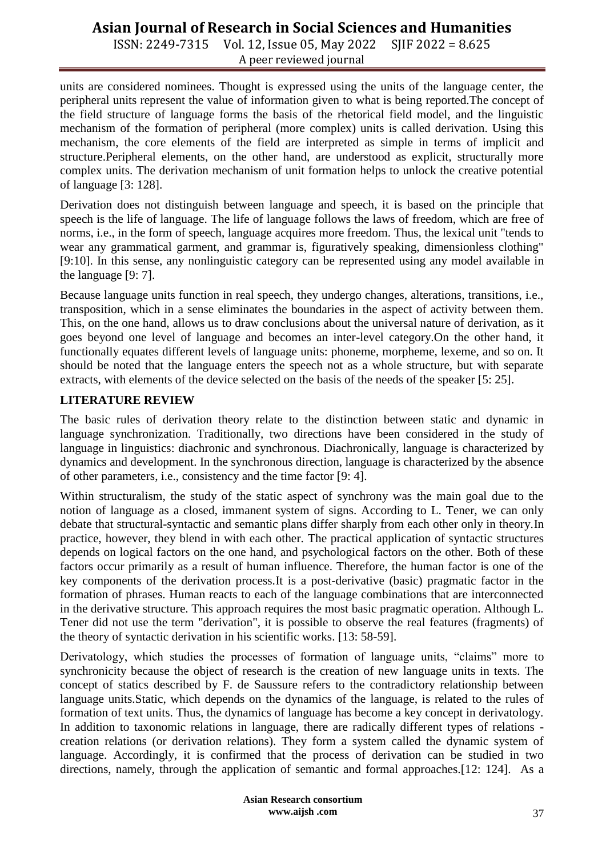ISSN: 2249-7315 Vol. 12, Issue 05, May 2022 SJIF 2022 = 8.625 A peer reviewed journal

units are considered nominees. Thought is expressed using the units of the language center, the peripheral units represent the value of information given to what is being reported.The concept of the field structure of language forms the basis of the rhetorical field model, and the linguistic mechanism of the formation of peripheral (more complex) units is called derivation. Using this mechanism, the core elements of the field are interpreted as simple in terms of implicit and structure.Peripheral elements, on the other hand, are understood as explicit, structurally more complex units. The derivation mechanism of unit formation helps to unlock the creative potential of language [3: 128].

Derivation does not distinguish between language and speech, it is based on the principle that speech is the life of language. The life of language follows the laws of freedom, which are free of norms, i.e., in the form of speech, language acquires more freedom. Thus, the lexical unit "tends to wear any grammatical garment, and grammar is, figuratively speaking, dimensionless clothing" [9:10]. In this sense, any nonlinguistic category can be represented using any model available in the language [9: 7].

Because language units function in real speech, they undergo changes, alterations, transitions, i.e., transposition, which in a sense eliminates the boundaries in the aspect of activity between them. This, on the one hand, allows us to draw conclusions about the universal nature of derivation, as it goes beyond one level of language and becomes an inter-level category.On the other hand, it functionally equates different levels of language units: phoneme, morpheme, lexeme, and so on. It should be noted that the language enters the speech not as a whole structure, but with separate extracts, with elements of the device selected on the basis of the needs of the speaker [5: 25].

#### **LITERATURE REVIEW**

The basic rules of derivation theory relate to the distinction between static and dynamic in language synchronization. Traditionally, two directions have been considered in the study of language in linguistics: diachronic and synchronous. Diachronically, language is characterized by dynamics and development. In the synchronous direction, language is characterized by the absence of other parameters, i.e., consistency and the time factor [9: 4].

Within structuralism, the study of the static aspect of synchrony was the main goal due to the notion of language as a closed, immanent system of signs. According to L. Tener, we can only debate that structural-syntactic and semantic plans differ sharply from each other only in theory.In practice, however, they blend in with each other. The practical application of syntactic structures depends on logical factors on the one hand, and psychological factors on the other. Both of these factors occur primarily as a result of human influence. Therefore, the human factor is one of the key components of the derivation process.It is a post-derivative (basic) pragmatic factor in the formation of phrases. Human reacts to each of the language combinations that are interconnected in the derivative structure. This approach requires the most basic pragmatic operation. Although L. Tener did not use the term "derivation", it is possible to observe the real features (fragments) of the theory of syntactic derivation in his scientific works. [13: 58-59].

Derivatology, which studies the processes of formation of language units, "claims" more to synchronicity because the object of research is the creation of new language units in texts. The concept of statics described by F. de Saussure refers to the contradictory relationship between language units.Static, which depends on the dynamics of the language, is related to the rules of formation of text units. Thus, the dynamics of language has become a key concept in derivatology. In addition to taxonomic relations in language, there are radically different types of relations creation relations (or derivation relations). They form a system called the dynamic system of language. Accordingly, it is confirmed that the process of derivation can be studied in two directions, namely, through the application of semantic and formal approaches.[12: 124]. As a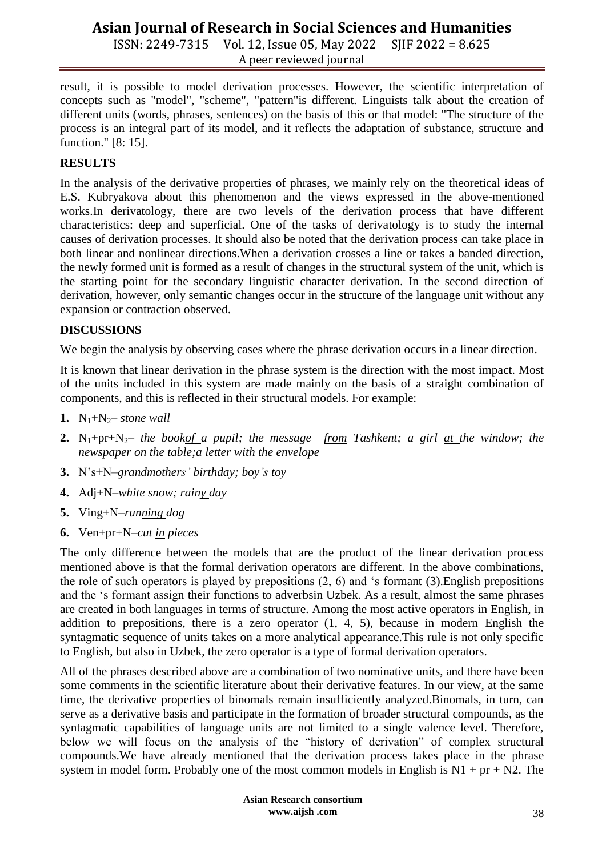ISSN: 2249-7315 Vol. 12, Issue 05, May 2022 SJIF 2022 = 8.625 A peer reviewed journal

result, it is possible to model derivation processes. However, the scientific interpretation of concepts such as "model", "scheme", "pattern"is different. Linguists talk about the creation of different units (words, phrases, sentences) on the basis of this or that model: "The structure of the process is an integral part of its model, and it reflects the adaptation of substance, structure and function." [8: 15].

### **RESULTS**

In the analysis of the derivative properties of phrases, we mainly rely on the theoretical ideas of E.S. Kubryakova about this phenomenon and the views expressed in the above-mentioned works.In derivatology, there are two levels of the derivation process that have different characteristics: deep and superficial. One of the tasks of derivatology is to study the internal causes of derivation processes. It should also be noted that the derivation process can take place in both linear and nonlinear directions.When a derivation crosses a line or takes a banded direction, the newly formed unit is formed as a result of changes in the structural system of the unit, which is the starting point for the secondary linguistic character derivation. In the second direction of derivation, however, only semantic changes occur in the structure of the language unit without any expansion or contraction observed.

#### **DISCUSSIONS**

We begin the analysis by observing cases where the phrase derivation occurs in a linear direction.

It is known that linear derivation in the phrase system is the direction with the most impact. Most of the units included in this system are made mainly on the basis of a straight combination of components, and this is reflected in their structural models. For example:

- **1.**  $N_1 + N_2$  *stone wall*
- 2. N<sub>1</sub>+pr+N<sub>2</sub>– *the bookof a pupil; the message from Tashkent; a girl at the window; the newspaper on the table;a letter with the envelope*
- **3.** N"s+N–*grandmothers' birthday; boy's toy*
- **4.** Adj+N–*white snow; rainy day*
- **5.** Ving+N–*running dog*
- **6.** Ven+pr+N–*cut in pieces*

The only difference between the models that are the product of the linear derivation process mentioned above is that the formal derivation operators are different. In the above combinations, the role of such operators is played by prepositions (2, 6) and "s formant (3).English prepositions and the "s formant assign their functions to adverbsin Uzbek. As a result, almost the same phrases are created in both languages in terms of structure. Among the most active operators in English, in addition to prepositions, there is a zero operator (1, 4, 5), because in modern English the syntagmatic sequence of units takes on a more analytical appearance.This rule is not only specific to English, but also in Uzbek, the zero operator is a type of formal derivation operators.

All of the phrases described above are a combination of two nominative units, and there have been some comments in the scientific literature about their derivative features. In our view, at the same time, the derivative properties of binomals remain insufficiently analyzed.Binomals, in turn, can serve as a derivative basis and participate in the formation of broader structural compounds, as the syntagmatic capabilities of language units are not limited to a single valence level. Therefore, below we will focus on the analysis of the "history of derivation" of complex structural compounds.We have already mentioned that the derivation process takes place in the phrase system in model form. Probably one of the most common models in English is  $N1 + pr + N2$ . The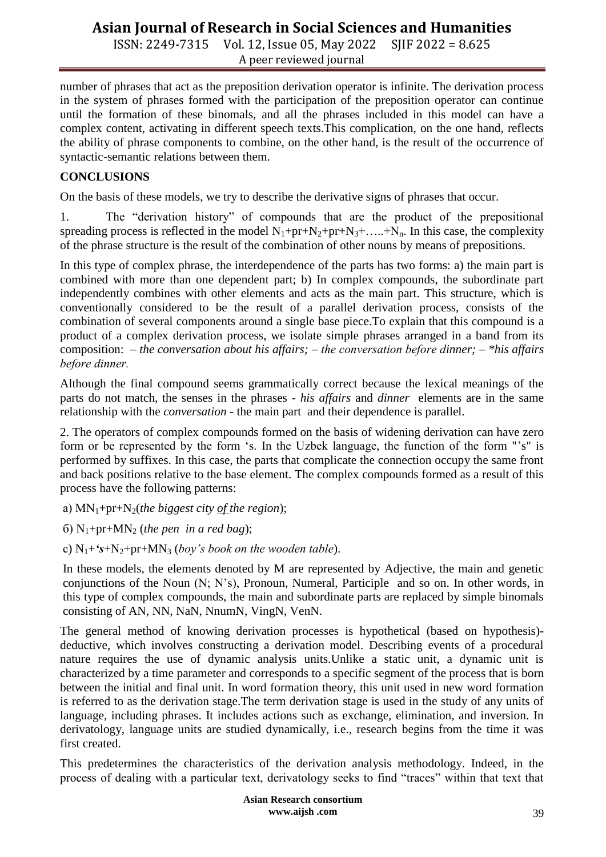ISSN: 2249-7315 Vol. 12, Issue 05, May 2022 SJIF 2022 = 8.625 A peer reviewed journal

number of phrases that act as the preposition derivation operator is infinite. The derivation process in the system of phrases formed with the participation of the preposition operator can continue until the formation of these binomals, and all the phrases included in this model can have a complex content, activating in different speech texts.This complication, on the one hand, reflects the ability of phrase components to combine, on the other hand, is the result of the occurrence of syntactic-semantic relations between them.

#### **CONCLUSIONS**

On the basis of these models, we try to describe the derivative signs of phrases that occur.

1. The "derivation history" of compounds that are the product of the prepositional spreading process is reflected in the model  $N_1+pr+N_2+pr+N_3+....+N_n$ . In this case, the complexity of the phrase structure is the result of the combination of other nouns by means of prepositions.

In this type of complex phrase, the interdependence of the parts has two forms: a) the main part is combined with more than one dependent part; b) In complex compounds, the subordinate part independently combines with other elements and acts as the main part. This structure, which is conventionally considered to be the result of a parallel derivation process, consists of the combination of several components around a single base piece.To explain that this compound is a product of a complex derivation process, we isolate simple phrases arranged in a band from its composition: – *the conversation about his affairs;* – *the conversation beforе dinner;* – *\*his affairs beforе dinner.*

Although the final compound seems grammatically correct because the lexical meanings of the parts do not match, the senses in the phrases - *his affairs* and *dinner* elements are in the same relationship with the *conversation* - the main part and their dependence is parallel.

2. The operators of complex compounds formed on the basis of widening derivation can have zero form or be represented by the form 's. In the Uzbek language, the function of the form "'s" is performed by suffixes. In this case, the parts that complicate the connection occupy the same front and back positions relative to the base element. The complex compounds formed as a result of this process have the following patterns:

а) MN1+pr+N2(*the biggest city of the region*);

- $(6)$  N<sub>1</sub>+pr+MN<sub>2</sub> (*the pen in a red bag*);
- c)  $N_1 +$ **'s**+ $N_2$ +pr+MN<sub>3</sub> (*boy*'s *book on the wooden table*).

In these models, the elements denoted by M are represented by Adjective, the main and genetic conjunctions of the Noun (N; N"s), Pronoun, Numeral, Participle and so on. In other words, in this type of complex compounds, the main and subordinate parts are replaced by simple binomals consisting of AN, NN, NaN, NnumN, VingN, VenN.

The general method of knowing derivation processes is hypothetical (based on hypothesis) deductive, which involves constructing a derivation model. Describing events of a procedural nature requires the use of dynamic analysis units.Unlike a static unit, a dynamic unit is characterized by a time parameter and corresponds to a specific segment of the process that is born between the initial and final unit. In word formation theory, this unit used in new word formation is referred to as the derivation stage.The term derivation stage is used in the study of any units of language, including phrases. It includes actions such as exchange, elimination, and inversion. In derivatology, language units are studied dynamically, i.e., research begins from the time it was first created.

This predetermines the characteristics of the derivation analysis methodology. Indeed, in the process of dealing with a particular text, derivatology seeks to find "traces" within that text that

> **Asian Research consortium www.aijsh .com**